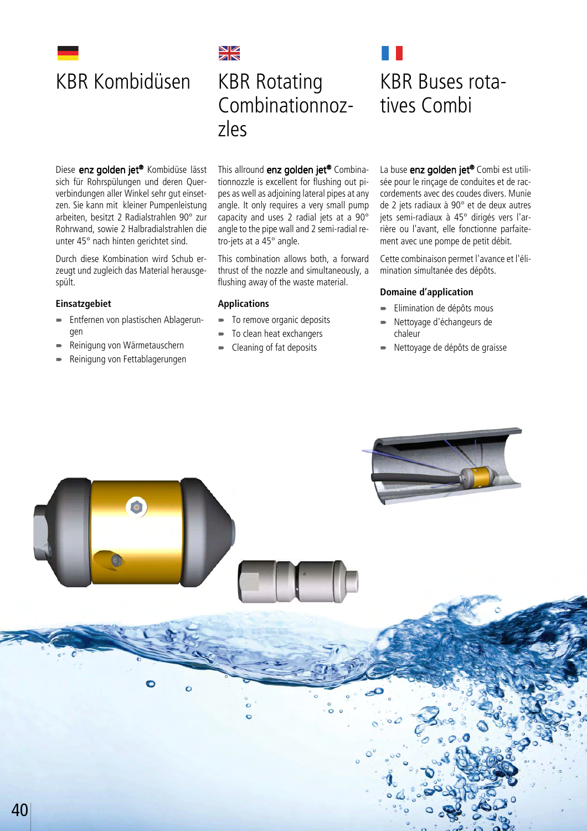

# NZ KBR Kombidüsen KBR Rotating Combinationnozzles

Diese enz golden jet® Kombidüse lässt sich für Rohrspülungen und deren Querverbindungen aller Winkel sehr gut einsetzen. Sie kann mit kleiner Pumpenleistung arbeiten, besitzt 2 Radialstrahlen 90° zur Rohrwand, sowie 2 Halbradialstrahlen die unter 45° nach hinten gerichtet sind.

Durch diese Kombination wird Schub erzeugt und zugleich das Material herausgespült.

## **Einsatzgebiet**

- Entfernen von plastischen Ablagerungen
- Reinigung von Wärmetauschern
- Reinigung von Fettablagerungen

This allround enz golden jet® Combinationnozzle is excellent for flushing out pipes as well as adjoining lateral pipes at any angle. It only requires a very small pump capacity and uses 2 radial jets at a 90° angle to the pipe wall and 2 semi-radial retro-jets at a 45° angle.

This combination allows both, a forward thrust of the nozzle and simultaneously, a flushing away of the waste material.

## **Applications**

- $\blacksquare$  To remove organic deposits
- $\blacksquare$  To clean heat exchangers
- **EXEC** Cleaning of fat deposits

KBR Buses rotatives Combi

La buse enz golden jet<sup>®</sup> Combi est utilisée pour le rinçage de conduites et de raccordements avec des coudes divers. Munie de 2 jets radiaux à 90° et de deux autres jets semi-radiaux à 45° dirigés vers l'arrière ou l'avant, elle fonctionne parfaitement avec une pompe de petit débit.

Cette combinaison permet l'avance et l'élimination simultanée des dépôts.

#### **Domaine d'application**

- Elimination de dépôts mous
- Nettoyage d'échangeurs de chaleur
- Nettoyage de dépôts de graisse

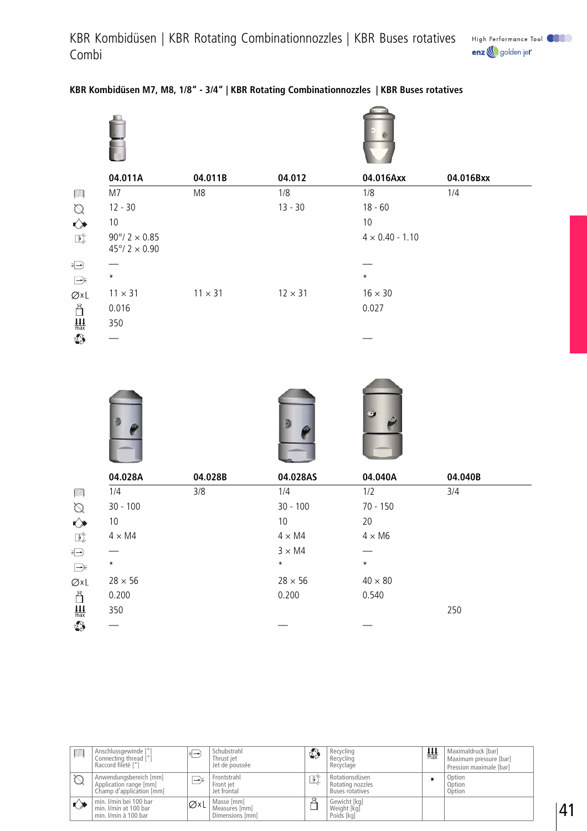|                                                       | 04.011A                                                    | 04.011B        | 04.012         | 04.016Axx              | 04.016Bxx |
|-------------------------------------------------------|------------------------------------------------------------|----------------|----------------|------------------------|-----------|
| F                                                     | M7                                                         | M8             | 1/8            | 1/8                    | 1/4       |
|                                                       | $12 - 30$                                                  |                | $13 - 30$      | $18 - 60$              |           |
| $\begin{matrix} \oslash \\ \oslash \end{matrix}$      | $10$                                                       |                |                | 10                     |           |
| $\mathbb{R}^{\!\!\times\!}$                           | $90^{\circ}/ 2 \times 0.85$<br>$45^{\circ}/ 2 \times 0.90$ |                |                | $4 \times 0.40 - 1.10$ |           |
| Đ                                                     |                                                            |                |                |                        |           |
| $\implies$                                            | $\star$                                                    |                |                | $\star$                |           |
| ØxL                                                   | $11 \times 31$                                             | $11 \times 31$ | $12 \times 31$ | $16 \times 30$         |           |
| å                                                     | 0.016                                                      |                |                | 0.027                  |           |
| $\underbrace{\mathop{\textstyle \prod}_{\text{max}}}$ | 350                                                        |                |                |                        |           |
| $\sigma^2$                                            |                                                            |                |                |                        |           |

## **KBR Kombidüsen M7, M8, 1/8" - 3/4" | KBR Rotating Combinationnozzles | KBR Buses rotatives**







|                    | 04.028A        | 04.028B | 04.028AS       | 04.040A        | 04.040B |
|--------------------|----------------|---------|----------------|----------------|---------|
| F                  | 1/4            | 3/8     | 1/4            | 1/2            | 3/4     |
| $\bigotimes$       | $30 - 100$     |         | $30 - 100$     | 70 - 150       |         |
| $\rightsquigarrow$ | 10             |         | 10             | 20             |         |
| 唾                  | $4 \times M4$  |         | $4 \times M4$  | $4 \times M6$  |         |
| Đ                  |                |         | $3 \times M4$  |                |         |
| $\Rightarrow$      | $\star$        |         | $\star$        | $\star$        |         |
| ØxL                | $28 \times 56$ |         | $28 \times 56$ | $40 \times 80$ |         |
| Ä                  | 0.200          |         | 0.200          | 0.540          |         |
| $\frac{111}{max}$  | 350            |         |                |                | 250     |
| t.                 |                |         |                |                |         |

| ■          | Anschlussgewinde ["]<br>Connecting thread ["]<br>Raccord fileté ["]          | $\rightarrow$ | Schubstrahl<br>Thrust jet<br>Jet de poussée    | ✿  | Recycling<br>Recycling<br>Recyclage                   | ш<br>max | Maximaldruck [bar]<br>Maximum pressure [bar]<br>Pression maximale [bar] |
|------------|------------------------------------------------------------------------------|---------------|------------------------------------------------|----|-------------------------------------------------------|----------|-------------------------------------------------------------------------|
| $\oslash$  | Anwendungsbereich [mm]<br>Application range [mm]<br>Champ d'application [mm] | ,—)⊱          | Frontstrahl<br>Front jet<br>Jet frontal        | ឃុ | Rotationsdüsen<br>Rotating nozzles<br>Buses rotatives |          | Option<br>Option<br>Option                                              |
| $\bigcirc$ | min. I/min bei 100 bar<br>min. I/min at 100 bar<br>min. I/min à 100 bar      | ØxL           | Masse [mm]<br>Measures [mm]<br>Dimensions [mm] |    | Gewicht [kg]<br>Weight [kg]<br>Poids [kg]             |          |                                                                         |